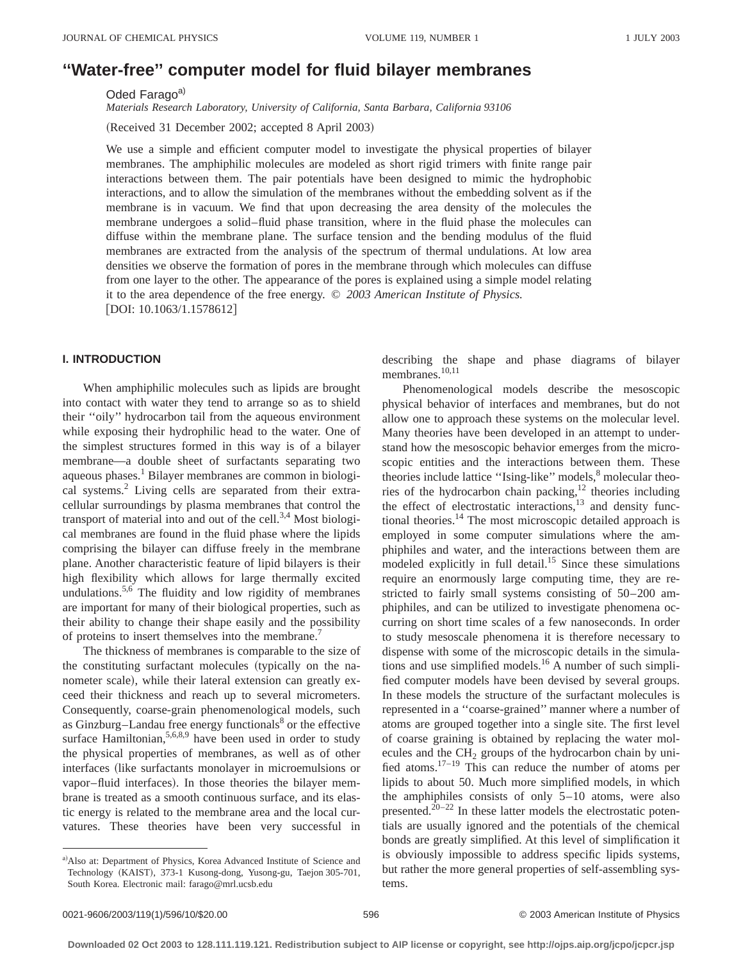# **''Water-free'' computer model for fluid bilayer membranes**

Oded Farago<sup>a)</sup>

*Materials Research Laboratory, University of California, Santa Barbara, California 93106*

(Received 31 December 2002; accepted 8 April 2003)

We use a simple and efficient computer model to investigate the physical properties of bilayer membranes. The amphiphilic molecules are modeled as short rigid trimers with finite range pair interactions between them. The pair potentials have been designed to mimic the hydrophobic interactions, and to allow the simulation of the membranes without the embedding solvent as if the membrane is in vacuum. We find that upon decreasing the area density of the molecules the membrane undergoes a solid–fluid phase transition, where in the fluid phase the molecules can diffuse within the membrane plane. The surface tension and the bending modulus of the fluid membranes are extracted from the analysis of the spectrum of thermal undulations. At low area densities we observe the formation of pores in the membrane through which molecules can diffuse from one layer to the other. The appearance of the pores is explained using a simple model relating it to the area dependence of the free energy. © *2003 American Institute of Physics.* [DOI: 10.1063/1.1578612]

# **I. INTRODUCTION**

When amphiphilic molecules such as lipids are brought into contact with water they tend to arrange so as to shield their ''oily'' hydrocarbon tail from the aqueous environment while exposing their hydrophilic head to the water. One of the simplest structures formed in this way is of a bilayer membrane—a double sheet of surfactants separating two aqueous phases.<sup>1</sup> Bilayer membranes are common in biological systems.2 Living cells are separated from their extracellular surroundings by plasma membranes that control the transport of material into and out of the cell. $3,4$  Most biological membranes are found in the fluid phase where the lipids comprising the bilayer can diffuse freely in the membrane plane. Another characteristic feature of lipid bilayers is their high flexibility which allows for large thermally excited undulations.<sup>5,6</sup> The fluidity and low rigidity of membranes are important for many of their biological properties, such as their ability to change their shape easily and the possibility of proteins to insert themselves into the membrane.<sup>7</sup>

The thickness of membranes is comparable to the size of the constituting surfactant molecules (typically on the nanometer scale), while their lateral extension can greatly exceed their thickness and reach up to several micrometers. Consequently, coarse-grain phenomenological models, such as Ginzburg–Landau free energy functionals $8$  or the effective surface Hamiltonian,  $5,6,8,9$  have been used in order to study the physical properties of membranes, as well as of other interfaces (like surfactants monolayer in microemulsions or vapor–fluid interfaces). In those theories the bilayer membrane is treated as a smooth continuous surface, and its elastic energy is related to the membrane area and the local curvatures. These theories have been very successful in

a) Also at: Department of Physics, Korea Advanced Institute of Science and Technology (KAIST), 373-1 Kusong-dong, Yusong-gu, Taejon 305-701, South Korea. Electronic mail: farago@mrl.ucsb.edu

describing the shape and phase diagrams of bilayer membranes.<sup>10,11</sup>

Phenomenological models describe the mesoscopic physical behavior of interfaces and membranes, but do not allow one to approach these systems on the molecular level. Many theories have been developed in an attempt to understand how the mesoscopic behavior emerges from the microscopic entities and the interactions between them. These theories include lattice "Ising-like" models, <sup>8</sup> molecular theories of the hydrocarbon chain packing, $12$  theories including the effect of electrostatic interactions, $13$  and density functional theories.14 The most microscopic detailed approach is employed in some computer simulations where the amphiphiles and water, and the interactions between them are modeled explicitly in full detail.<sup>15</sup> Since these simulations require an enormously large computing time, they are restricted to fairly small systems consisting of 50–200 amphiphiles, and can be utilized to investigate phenomena occurring on short time scales of a few nanoseconds. In order to study mesoscale phenomena it is therefore necessary to dispense with some of the microscopic details in the simulations and use simplified models.16 A number of such simplified computer models have been devised by several groups. In these models the structure of the surfactant molecules is represented in a ''coarse-grained'' manner where a number of atoms are grouped together into a single site. The first level of coarse graining is obtained by replacing the water molecules and the  $CH<sub>2</sub>$  groups of the hydrocarbon chain by unified atoms.17–19 This can reduce the number of atoms per lipids to about 50. Much more simplified models, in which the amphiphiles consists of only  $5-10$  atoms, were also presented.<sup>20–22</sup> In these latter models the electrostatic potentials are usually ignored and the potentials of the chemical bonds are greatly simplified. At this level of simplification it is obviously impossible to address specific lipids systems, but rather the more general properties of self-assembling systems.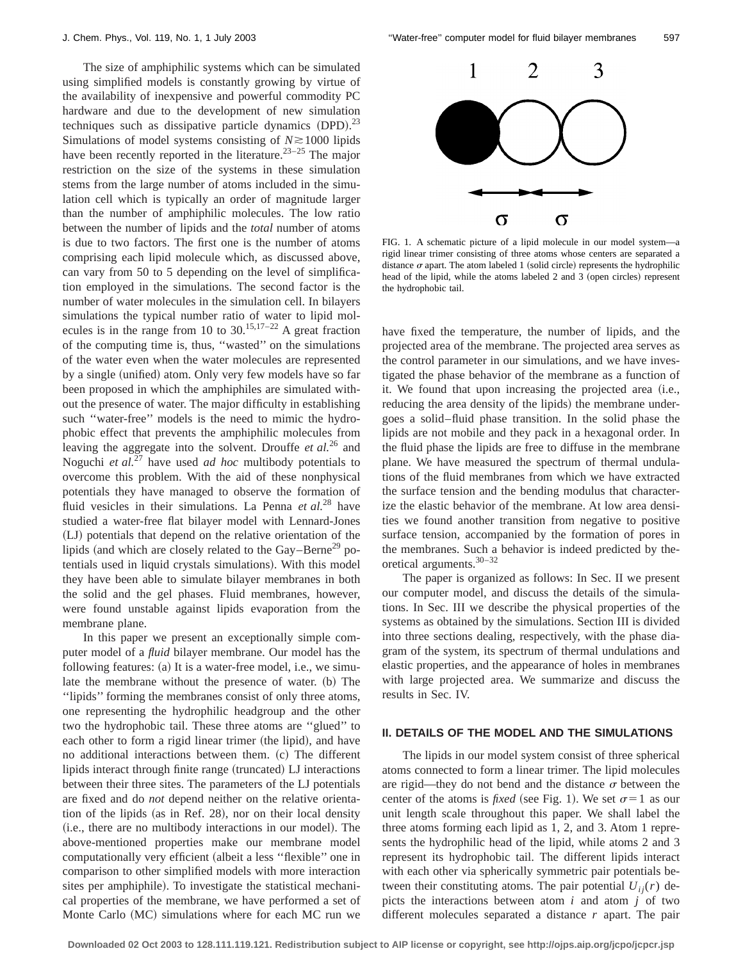The size of amphiphilic systems which can be simulated using simplified models is constantly growing by virtue of the availability of inexpensive and powerful commodity PC hardware and due to the development of new simulation techniques such as dissipative particle dynamics  $(DPD)$ .<sup>23</sup> Simulations of model systems consisting of  $N \ge 1000$  lipids have been recently reported in the literature.<sup>23–25</sup> The major restriction on the size of the systems in these simulation stems from the large number of atoms included in the simulation cell which is typically an order of magnitude larger than the number of amphiphilic molecules. The low ratio between the number of lipids and the *total* number of atoms is due to two factors. The first one is the number of atoms comprising each lipid molecule which, as discussed above, can vary from 50 to 5 depending on the level of simplification employed in the simulations. The second factor is the number of water molecules in the simulation cell. In bilayers simulations the typical number ratio of water to lipid molecules is in the range from 10 to  $30.15,17-22$  A great fraction of the computing time is, thus, ''wasted'' on the simulations of the water even when the water molecules are represented by a single (unified) atom. Only very few models have so far been proposed in which the amphiphiles are simulated without the presence of water. The major difficulty in establishing such ''water-free'' models is the need to mimic the hydrophobic effect that prevents the amphiphilic molecules from leaving the aggregate into the solvent. Drouffe *et al.*<sup>26</sup> and Noguchi *et al.*<sup>27</sup> have used *ad hoc* multibody potentials to overcome this problem. With the aid of these nonphysical potentials they have managed to observe the formation of fluid vesicles in their simulations. La Penna *et al.*<sup>28</sup> have studied a water-free flat bilayer model with Lennard-Jones (LJ) potentials that depend on the relative orientation of the lipids (and which are closely related to the Gay–Berne<sup>29</sup> potentials used in liquid crystals simulations). With this model they have been able to simulate bilayer membranes in both the solid and the gel phases. Fluid membranes, however, were found unstable against lipids evaporation from the membrane plane.

In this paper we present an exceptionally simple computer model of a *fluid* bilayer membrane. Our model has the following features:  $(a)$  It is a water-free model, i.e., we simulate the membrane without the presence of water. (b) The ''lipids'' forming the membranes consist of only three atoms, one representing the hydrophilic headgroup and the other two the hydrophobic tail. These three atoms are ''glued'' to each other to form a rigid linear trimer (the lipid), and have no additional interactions between them. (c) The different lipids interact through finite range (truncated) LJ interactions between their three sites. The parameters of the LJ potentials are fixed and do *not* depend neither on the relative orientation of the lipids (as in Ref. 28), nor on their local density (i.e., there are no multibody interactions in our model). The above-mentioned properties make our membrane model computationally very efficient (albeit a less "flexible" one in comparison to other simplified models with more interaction sites per amphiphile). To investigate the statistical mechanical properties of the membrane, we have performed a set of Monte Carlo (MC) simulations where for each MC run we



FIG. 1. A schematic picture of a lipid molecule in our model system—a rigid linear trimer consisting of three atoms whose centers are separated a distance  $\sigma$  apart. The atom labeled 1 (solid circle) represents the hydrophilic head of the lipid, while the atoms labeled 2 and 3 (open circles) represent the hydrophobic tail.

have fixed the temperature, the number of lipids, and the projected area of the membrane. The projected area serves as the control parameter in our simulations, and we have investigated the phase behavior of the membrane as a function of it. We found that upon increasing the projected area (i.e., reducing the area density of the lipids) the membrane undergoes a solid–fluid phase transition. In the solid phase the lipids are not mobile and they pack in a hexagonal order. In the fluid phase the lipids are free to diffuse in the membrane plane. We have measured the spectrum of thermal undulations of the fluid membranes from which we have extracted the surface tension and the bending modulus that characterize the elastic behavior of the membrane. At low area densities we found another transition from negative to positive surface tension, accompanied by the formation of pores in the membranes. Such a behavior is indeed predicted by theoretical arguments.30–32

The paper is organized as follows: In Sec. II we present our computer model, and discuss the details of the simulations. In Sec. III we describe the physical properties of the systems as obtained by the simulations. Section III is divided into three sections dealing, respectively, with the phase diagram of the system, its spectrum of thermal undulations and elastic properties, and the appearance of holes in membranes with large projected area. We summarize and discuss the results in Sec. IV.

#### **II. DETAILS OF THE MODEL AND THE SIMULATIONS**

The lipids in our model system consist of three spherical atoms connected to form a linear trimer. The lipid molecules are rigid—they do not bend and the distance  $\sigma$  between the center of the atoms is *fixed* (see Fig. 1). We set  $\sigma=1$  as our unit length scale throughout this paper. We shall label the three atoms forming each lipid as 1, 2, and 3. Atom 1 represents the hydrophilic head of the lipid, while atoms 2 and 3 represent its hydrophobic tail. The different lipids interact with each other via spherically symmetric pair potentials between their constituting atoms. The pair potential  $U_{ii}(r)$  depicts the interactions between atom *i* and atom *j* of two different molecules separated a distance *r* apart. The pair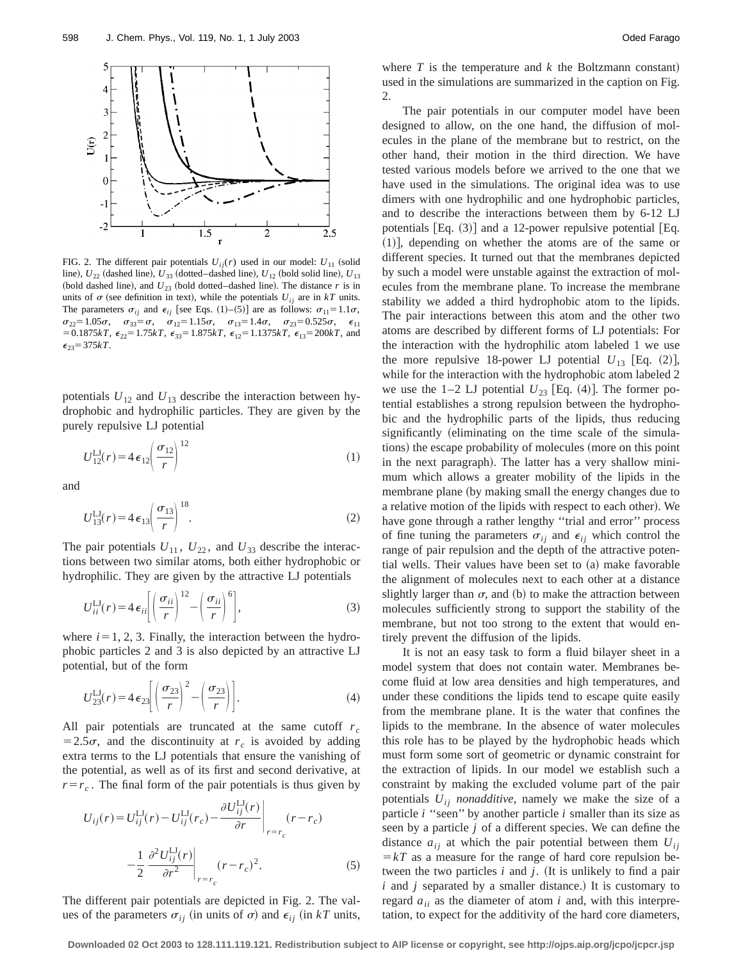

FIG. 2. The different pair potentials  $U_{ij}(r)$  used in our model:  $U_{11}$  (solid line),  $U_{22}$  (dashed line),  $U_{33}$  (dotted–dashed line),  $U_{12}$  (bold solid line),  $U_{13}$ (bold dashed line), and  $U_{23}$  (bold dotted–dashed line). The distance  $r$  is in units of  $\sigma$  (see definition in text), while the potentials  $U_{ij}$  are in  $kT$  units. The parameters  $\sigma_{ii}$  and  $\epsilon_{ii}$  [see Eqs. (1)–(5)] are as follows:  $\sigma_{11} = 1.1\sigma$ ,  $\sigma_{22}=1.05\sigma$ ,  $\sigma_{33}=\sigma$ ,  $\sigma_{12}=1.15\sigma$ ,  $\sigma_{13}=1.4\sigma$ ,  $\sigma_{23}=0.525\sigma$ ,  $\epsilon_{11}$  $=0.1875kT$ ,  $\epsilon_{22}=1.75kT$ ,  $\epsilon_{33}=1.875kT$ ,  $\epsilon_{12}=1.1375kT$ ,  $\epsilon_{13}=200kT$ , and  $\epsilon_{23} = 375kT$ .

potentials  $U_{12}$  and  $U_{13}$  describe the interaction between hydrophobic and hydrophilic particles. They are given by the purely repulsive LJ potential

$$
U_{12}^{\text{LJ}}(r) = 4\,\epsilon_{12} \left(\frac{\sigma_{12}}{r}\right)^{12} \tag{1}
$$

and

$$
U_{13}^{LJ}(r) = 4\,\epsilon_{13} \left(\frac{\sigma_{13}}{r}\right)^{18}.\tag{2}
$$

The pair potentials  $U_{11}$ ,  $U_{22}$ , and  $U_{33}$  describe the interactions between two similar atoms, both either hydrophobic or hydrophilic. They are given by the attractive LJ potentials

$$
U_{ii}^{\text{LJ}}(r) = 4 \epsilon_{ii} \left[ \left( \frac{\sigma_{ii}}{r} \right)^{12} - \left( \frac{\sigma_{ii}}{r} \right)^6 \right],\tag{3}
$$

where  $i=1, 2, 3$ . Finally, the interaction between the hydrophobic particles 2 and 3 is also depicted by an attractive LJ potential, but of the form

$$
U_{23}^{LJ}(r) = 4 \epsilon_{23} \left[ \left( \frac{\sigma_{23}}{r} \right)^2 - \left( \frac{\sigma_{23}}{r} \right) \right].
$$
 (4)

All pair potentials are truncated at the same cutoff  $r_c$  $=2.5\sigma$ , and the discontinuity at  $r_c$  is avoided by adding extra terms to the LJ potentials that ensure the vanishing of the potential, as well as of its first and second derivative, at  $r=r_c$ . The final form of the pair potentials is thus given by

$$
U_{ij}(r) = U_{ij}^{\text{LI}}(r) - U_{ij}^{\text{LI}}(r_c) - \frac{\partial U_{ij}^{\text{LI}}(r)}{\partial r}\Big|_{r=r_c} (r - r_c)
$$

$$
-\frac{1}{2} \frac{\partial^2 U_{ij}^{\text{Li}}(r)}{\partial r^2}\Big|_{r=r_c} (r - r_c)^2. \tag{5}
$$

The different pair potentials are depicted in Fig. 2. The values of the parameters  $\sigma_{ij}$  (in units of  $\sigma$ ) and  $\epsilon_{ij}$  (in *kT* units, where  $T$  is the temperature and  $k$  the Boltzmann constant) used in the simulations are summarized in the caption on Fig. 2.

The pair potentials in our computer model have been designed to allow, on the one hand, the diffusion of molecules in the plane of the membrane but to restrict, on the other hand, their motion in the third direction. We have tested various models before we arrived to the one that we have used in the simulations. The original idea was to use dimers with one hydrophilic and one hydrophobic particles, and to describe the interactions between them by 6-12 LJ potentials  $[Eq. (3)]$  and a 12-power repulsive potential  $[Eq. (3)]$  $(1)$ , depending on whether the atoms are of the same or different species. It turned out that the membranes depicted by such a model were unstable against the extraction of molecules from the membrane plane. To increase the membrane stability we added a third hydrophobic atom to the lipids. The pair interactions between this atom and the other two atoms are described by different forms of LJ potentials: For the interaction with the hydrophilic atom labeled 1 we use the more repulsive 18-power LJ potential  $U_{13}$  [Eq. (2)], while for the interaction with the hydrophobic atom labeled 2 we use the  $1-2$  LJ potential  $U_{23}$  [Eq. (4)]. The former potential establishes a strong repulsion between the hydrophobic and the hydrophilic parts of the lipids, thus reducing significantly (eliminating on the time scale of the simulations) the escape probability of molecules (more on this point in the next paragraph). The latter has a very shallow minimum which allows a greater mobility of the lipids in the membrane plane (by making small the energy changes due to a relative motion of the lipids with respect to each other). We have gone through a rather lengthy "trial and error" process of fine tuning the parameters  $\sigma_{ij}$  and  $\epsilon_{ij}$  which control the range of pair repulsion and the depth of the attractive potential wells. Their values have been set to  $(a)$  make favorable the alignment of molecules next to each other at a distance slightly larger than  $\sigma$ , and (b) to make the attraction between molecules sufficiently strong to support the stability of the membrane, but not too strong to the extent that would entirely prevent the diffusion of the lipids.

It is not an easy task to form a fluid bilayer sheet in a model system that does not contain water. Membranes become fluid at low area densities and high temperatures, and under these conditions the lipids tend to escape quite easily from the membrane plane. It is the water that confines the lipids to the membrane. In the absence of water molecules this role has to be played by the hydrophobic heads which must form some sort of geometric or dynamic constraint for the extraction of lipids. In our model we establish such a constraint by making the excluded volume part of the pair potentials  $U_{ii}$  *nonadditive*, namely we make the size of a particle *i* "seen" by another particle *i* smaller than its size as seen by a particle *j* of a different species. We can define the distance  $a_{ij}$  at which the pair potential between them  $U_{ij}$  $=kT$  as a measure for the range of hard core repulsion between the two particles  $i$  and  $j$ . (It is unlikely to find a pair  $i$  and  $j$  separated by a smaller distance.) It is customary to regard  $a_{ii}$  as the diameter of atom  $i$  and, with this interpretation, to expect for the additivity of the hard core diameters,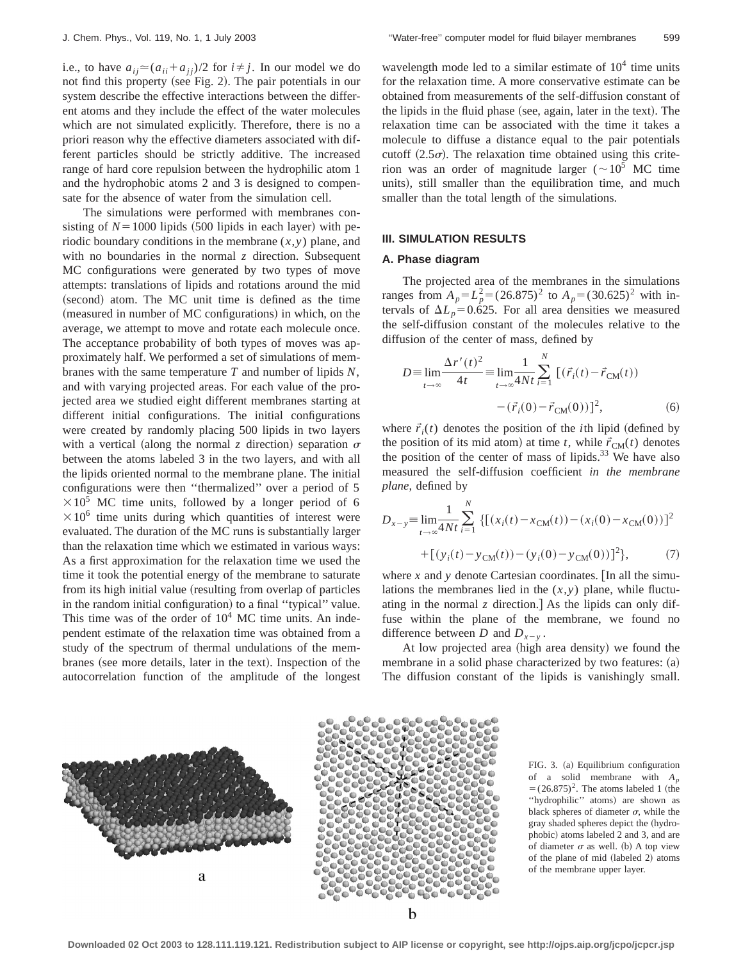i.e., to have  $a_{ii} \approx (a_{ii} + a_{ii})/2$  for  $i \neq j$ . In our model we do not find this property (see Fig. 2). The pair potentials in our system describe the effective interactions between the different atoms and they include the effect of the water molecules which are not simulated explicitly. Therefore, there is no a priori reason why the effective diameters associated with different particles should be strictly additive. The increased range of hard core repulsion between the hydrophilic atom 1 and the hydrophobic atoms 2 and 3 is designed to compensate for the absence of water from the simulation cell.

The simulations were performed with membranes consisting of  $N = 1000$  lipids  $(500$  lipids in each layer) with periodic boundary conditions in the membrane (*x*,*y*) plane, and with no boundaries in the normal  $\zeta$  direction. Subsequent MC configurations were generated by two types of move attempts: translations of lipids and rotations around the mid (second) atom. The MC unit time is defined as the time (measured in number of MC configurations) in which, on the average, we attempt to move and rotate each molecule once. The acceptance probability of both types of moves was approximately half. We performed a set of simulations of membranes with the same temperature *T* and number of lipids *N*, and with varying projected areas. For each value of the projected area we studied eight different membranes starting at different initial configurations. The initial configurations were created by randomly placing 500 lipids in two layers with a vertical (along the normal *z* direction) separation  $\sigma$ between the atoms labeled 3 in the two layers, and with all the lipids oriented normal to the membrane plane. The initial configurations were then ''thermalized'' over a period of 5  $\times 10^5$  MC time units, followed by a longer period of 6  $\times 10^6$  time units during which quantities of interest were evaluated. The duration of the MC runs is substantially larger than the relaxation time which we estimated in various ways: As a first approximation for the relaxation time we used the time it took the potential energy of the membrane to saturate from its high initial value (resulting from overlap of particles in the random initial configuration) to a final "typical" value. This time was of the order of  $10<sup>4</sup>$  MC time units. An independent estimate of the relaxation time was obtained from a study of the spectrum of thermal undulations of the membranes (see more details, later in the text). Inspection of the autocorrelation function of the amplitude of the longest wavelength mode led to a similar estimate of  $10<sup>4</sup>$  time units for the relaxation time. A more conservative estimate can be obtained from measurements of the self-diffusion constant of the lipids in the fluid phase (see, again, later in the text). The relaxation time can be associated with the time it takes a molecule to diffuse a distance equal to the pair potentials cutoff  $(2.5\sigma)$ . The relaxation time obtained using this criterion was an order of magnitude larger ( $\sim 10^5$  MC time units), still smaller than the equilibration time, and much smaller than the total length of the simulations.

### **III. SIMULATION RESULTS**

#### **A. Phase diagram**

The projected area of the membranes in the simulations ranges from  $A_p = L_p^2 = (26.875)^2$  to  $A_p = (30.625)^2$  with intervals of  $\Delta L_p = 0.625$ . For all area densities we measured the self-diffusion constant of the molecules relative to the diffusion of the center of mass, defined by

$$
D = \lim_{t \to \infty} \frac{\Delta r'(t)^2}{4t} = \lim_{t \to \infty} \frac{1}{4Nt} \sum_{i=1}^{N} \left[ (\vec{r}_i(t) - \vec{r}_{CM}(t)) - (\vec{r}_i(0) - \vec{r}_{CM}(0)) \right]^2,
$$
 (6)

where  $\vec{r}_i(t)$  denotes the position of the *i*th lipid (defined by the position of its mid atom) at time *t*, while  $\vec{r}_{CM}(t)$  denotes the position of the center of mass of lipids. $33$  We have also measured the self-diffusion coefficient *in the membrane plane*, defined by

$$
D_{x-y} = \lim_{t \to \infty} \frac{1}{4Nt} \sum_{i=1}^{N} \{ [(x_i(t) - x_{CM}(t)) - (x_i(0) - x_{CM}(0))]^2 + [(y_i(t) - y_{CM}(t)) - (y_i(0) - y_{CM}(0))]^2 \},
$$
 (7)

where  $x$  and  $y$  denote Cartesian coordinates. [In all the simulations the membranes lied in the  $(x, y)$  plane, while fluctuating in the normal  $\zeta$  direction. As the lipids can only diffuse within the plane of the membrane, we found no difference between *D* and  $D_{x-y}$ .

At low projected area (high area density) we found the membrane in a solid phase characterized by two features:  $(a)$ The diffusion constant of the lipids is vanishingly small.



FIG. 3. (a) Equilibrium configuration of a solid membrane with *Ap*  $=(26.875)^2$ . The atoms labeled 1 (the ''hydrophilic'' atoms! are shown as black spheres of diameter  $\sigma$ , while the gray shaded spheres depict the (hydrophobic) atoms labeled 2 and 3, and are of diameter  $\sigma$  as well. (b) A top view of the plane of mid (labeled 2) atoms of the membrane upper layer.

**Downloaded 02 Oct 2003 to 128.111.119.121. Redistribution subject to AIP license or copyright, see http://ojps.aip.org/jcpo/jcpcr.jsp**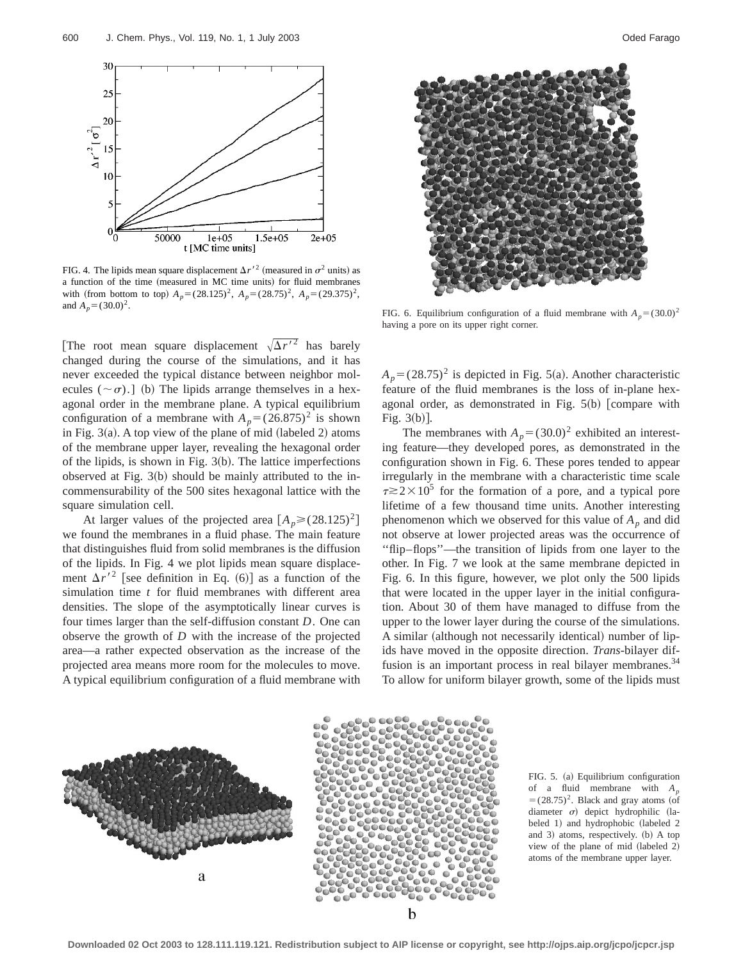

FIG. 4. The lipids mean square displacement  $\Delta r'^2$  (measured in  $\sigma^2$  units) as a function of the time (measured in MC time units) for fluid membranes with (from bottom to top)  $A_p = (28.125)^2$ ,  $A_p = (28.75)^2$ ,  $A_p = (29.375)^2$ , and  $A_p = (30.0)^2$ .

[The root mean square displacement  $\sqrt{\Delta r'^2}$  has barely changed during the course of the simulations, and it has never exceeded the typical distance between neighbor molecules  $({\sim}\sigma)$ .] (b) The lipids arrange themselves in a hexagonal order in the membrane plane. A typical equilibrium configuration of a membrane with  $A_p = (26.875)^2$  is shown in Fig.  $3(a)$ . A top view of the plane of mid (labeled 2) atoms of the membrane upper layer, revealing the hexagonal order of the lipids, is shown in Fig.  $3(b)$ . The lattice imperfections observed at Fig.  $3(b)$  should be mainly attributed to the incommensurability of the 500 sites hexagonal lattice with the square simulation cell.

At larger values of the projected area  $[A_p \geq (28.125)^2]$ we found the membranes in a fluid phase. The main feature that distinguishes fluid from solid membranes is the diffusion of the lipids. In Fig. 4 we plot lipids mean square displacement  $\Delta r'^2$  [see definition in Eq. (6)] as a function of the simulation time *t* for fluid membranes with different area densities. The slope of the asymptotically linear curves is four times larger than the self-diffusion constant *D*. One can observe the growth of *D* with the increase of the projected area—a rather expected observation as the increase of the projected area means more room for the molecules to move. A typical equilibrium configuration of a fluid membrane with



FIG. 6. Equilibrium configuration of a fluid membrane with  $A_p = (30.0)^2$ having a pore on its upper right corner.

 $A_p = (28.75)^2$  is depicted in Fig. 5(a). Another characteristic feature of the fluid membranes is the loss of in-plane hexagonal order, as demonstrated in Fig.  $5(b)$  [compare with Fig.  $3(b)$ ].

The membranes with  $A_p = (30.0)^2$  exhibited an interesting feature—they developed pores, as demonstrated in the configuration shown in Fig. 6. These pores tended to appear irregularly in the membrane with a characteristic time scale  $\tau \gtrsim 2 \times 10^5$  for the formation of a pore, and a typical pore lifetime of a few thousand time units. Another interesting phenomenon which we observed for this value of  $A_p$  and did not observe at lower projected areas was the occurrence of ''flip–flops''—the transition of lipids from one layer to the other. In Fig. 7 we look at the same membrane depicted in Fig. 6. In this figure, however, we plot only the 500 lipids that were located in the upper layer in the initial configuration. About 30 of them have managed to diffuse from the upper to the lower layer during the course of the simulations. A similar (although not necessarily identical) number of lipids have moved in the opposite direction. *Trans*-bilayer diffusion is an important process in real bilayer membranes.<sup>34</sup> To allow for uniform bilayer growth, some of the lipids must



FIG. 5. (a) Equilibrium configuration of a fluid membrane with *Ap*  $=(28.75)^2$ . Black and gray atoms (of diameter  $\sigma$ ) depict hydrophilic (labeled 1) and hydrophobic (labeled 2 and 3) atoms, respectively. (b) A top view of the plane of mid (labeled 2) atoms of the membrane upper layer.

**Downloaded 02 Oct 2003 to 128.111.119.121. Redistribution subject to AIP license or copyright, see http://ojps.aip.org/jcpo/jcpcr.jsp**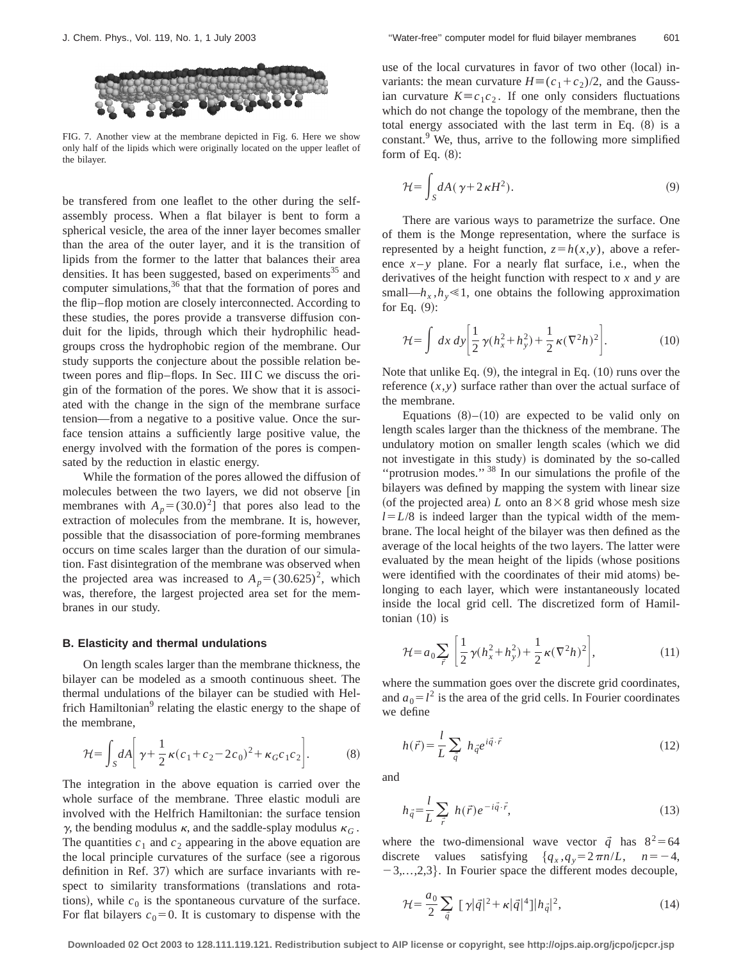

FIG. 7. Another view at the membrane depicted in Fig. 6. Here we show only half of the lipids which were originally located on the upper leaflet of the bilayer.

be transfered from one leaflet to the other during the selfassembly process. When a flat bilayer is bent to form a spherical vesicle, the area of the inner layer becomes smaller than the area of the outer layer, and it is the transition of lipids from the former to the latter that balances their area densities. It has been suggested, based on experiments<sup>35</sup> and computer simulations,  $36$  that that the formation of pores and the flip–flop motion are closely interconnected. According to these studies, the pores provide a transverse diffusion conduit for the lipids, through which their hydrophilic headgroups cross the hydrophobic region of the membrane. Our study supports the conjecture about the possible relation between pores and flip–flops. In Sec. III C we discuss the origin of the formation of the pores. We show that it is associated with the change in the sign of the membrane surface tension—from a negative to a positive value. Once the surface tension attains a sufficiently large positive value, the energy involved with the formation of the pores is compensated by the reduction in elastic energy.

While the formation of the pores allowed the diffusion of molecules between the two layers, we did not observe [in membranes with  $A_p = (30.0)^2$ ] that pores also lead to the extraction of molecules from the membrane. It is, however, possible that the disassociation of pore-forming membranes occurs on time scales larger than the duration of our simulation. Fast disintegration of the membrane was observed when the projected area was increased to  $A_p = (30.625)^2$ , which was, therefore, the largest projected area set for the membranes in our study.

#### **B. Elasticity and thermal undulations**

On length scales larger than the membrane thickness, the bilayer can be modeled as a smooth continuous sheet. The thermal undulations of the bilayer can be studied with Helfrich Hamiltonian<sup>9</sup> relating the elastic energy to the shape of the membrane,

$$
\mathcal{H} = \int_{S} dA \bigg[ \gamma + \frac{1}{2} \kappa (c_1 + c_2 - 2c_0)^2 + \kappa_G c_1 c_2 \bigg]. \tag{8}
$$

The integration in the above equation is carried over the whole surface of the membrane. Three elastic moduli are involved with the Helfrich Hamiltonian: the surface tension  $\gamma$ , the bending modulus  $\kappa$ , and the saddle-splay modulus  $\kappa$ <sub>*G*</sub>. The quantities  $c_1$  and  $c_2$  appearing in the above equation are the local principle curvatures of the surface (see a rigorous definition in Ref. 37) which are surface invariants with respect to similarity transformations (translations and rotations), while  $c_0$  is the spontaneous curvature of the surface. For flat bilayers  $c_0=0$ . It is customary to dispense with the use of the local curvatures in favor of two other (local) invariants: the mean curvature  $H \equiv (c_1 + c_2)/2$ , and the Gaussian curvature  $K \equiv c_1 c_2$ . If one only considers fluctuations which do not change the topology of the membrane, then the total energy associated with the last term in Eq.  $(8)$  is a constant.<sup>9</sup> We, thus, arrive to the following more simplified form of Eq.  $(8)$ :

$$
\mathcal{H} = \int_{S} dA (\gamma + 2\kappa H^2). \tag{9}
$$

There are various ways to parametrize the surface. One of them is the Monge representation, where the surface is represented by a height function,  $z = h(x, y)$ , above a reference  $x - y$  plane. For a nearly flat surface, i.e., when the derivatives of the height function with respect to *x* and *y* are small— $h_x$ ,  $h_y \le 1$ , one obtains the following approximation for Eq.  $(9)$ :

$$
\mathcal{H} = \int dx \, dy \bigg[ \frac{1}{2} \, \gamma (h_x^2 + h_y^2) + \frac{1}{2} \, \kappa (\nabla^2 h)^2 \bigg]. \tag{10}
$$

Note that unlike Eq.  $(9)$ , the integral in Eq.  $(10)$  runs over the reference  $(x, y)$  surface rather than over the actual surface of the membrane.

Equations  $(8)$ – $(10)$  are expected to be valid only on length scales larger than the thickness of the membrane. The undulatory motion on smaller length scales (which we did not investigate in this study) is dominated by the so-called ''protrusion modes.'' <sup>38</sup> In our simulations the profile of the bilayers was defined by mapping the system with linear size (of the projected area) *L* onto an  $8 \times 8$  grid whose mesh size  $l=L/8$  is indeed larger than the typical width of the membrane. The local height of the bilayer was then defined as the average of the local heights of the two layers. The latter were evaluated by the mean height of the lipids (whose positions were identified with the coordinates of their mid atoms) belonging to each layer, which were instantaneously located inside the local grid cell. The discretized form of Hamiltonian  $(10)$  is

$$
\mathcal{H} = a_0 \sum_{\vec{r}} \left[ \frac{1}{2} \gamma (h_x^2 + h_y^2) + \frac{1}{2} \kappa (\nabla^2 h)^2 \right],\tag{11}
$$

where the summation goes over the discrete grid coordinates, and  $a_0 = l^2$  is the area of the grid cells. In Fourier coordinates we define

$$
h(\vec{r}) = \frac{l}{L} \sum_{\vec{q}} h_{\vec{q}} e^{i\vec{q}\cdot\vec{r}} \tag{12}
$$

and

$$
h_{\vec{q}} = \frac{l}{L} \sum_{\vec{r}} h(\vec{r}) e^{-i\vec{q} \cdot \vec{r}}, \qquad (13)
$$

where the two-dimensional wave vector  $\vec{q}$  has  $8^2$ =64 discrete values satisfying  ${q_x, q_y=2\pi n/L, n=-4,}$  $-3,...,2,3$ . In Fourier space the different modes decouple,

$$
\mathcal{H} = \frac{a_0}{2} \sum_{\vec{q}} [\gamma |\vec{q}|^2 + \kappa |\vec{q}|^4] |h_{\vec{q}}|^2,
$$
 (14)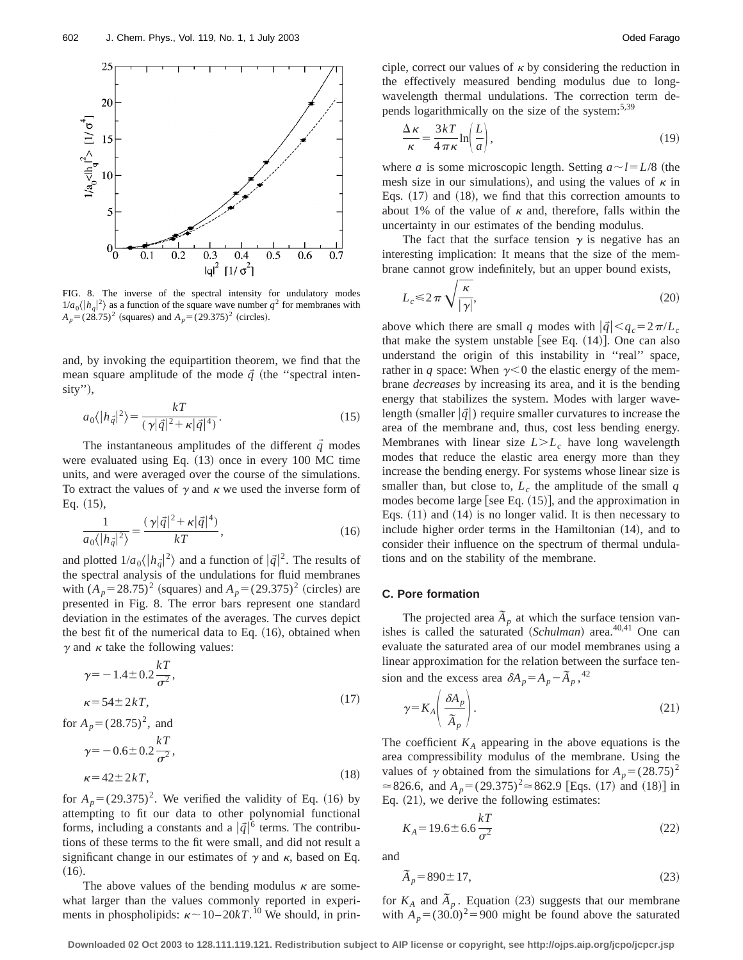

FIG. 8. The inverse of the spectral intensity for undulatory modes  $1/a_0\langle |h_q|^2\rangle$  as a function of the square wave number  $q^2$  for membranes with  $A_p = (28.75)^2$  (squares) and  $A_p = (29.375)^2$  (circles).

and, by invoking the equipartition theorem, we find that the mean square amplitude of the mode  $\vec{q}$  (the "spectral inten $sity$ ",

$$
a_0 \langle |h_{\vec{q}}|^2 \rangle = \frac{kT}{(\gamma |\vec{q}|^2 + \kappa |\vec{q}|^4)}.\tag{15}
$$

The instantaneous amplitudes of the different  $\vec{q}$  modes were evaluated using Eq.  $(13)$  once in every 100 MC time units, and were averaged over the course of the simulations. To extract the values of  $\gamma$  and  $\kappa$  we used the inverse form of Eq.  $(15)$ ,

$$
\frac{1}{a_0\langle|h_{\vec{q}}|^2\rangle} = \frac{(\gamma|\vec{q}|^2 + \kappa|\vec{q}|^4)}{kT},\tag{16}
$$

and plotted  $1/a_0 \langle |h_{\vec{q}}|^2 \rangle$  and a function of  $|\vec{q}|^2$ . The results of the spectral analysis of the undulations for fluid membranes with  $(A_p = 28.75)^2$  (squares) and  $A_p = (29.375)^2$  (circles) are presented in Fig. 8. The error bars represent one standard deviation in the estimates of the averages. The curves depict the best fit of the numerical data to Eq.  $(16)$ , obtained when  $\gamma$  and  $\kappa$  take the following values:

$$
\gamma = -1.4 \pm 0.2 \frac{kT}{\sigma^2},
$$
  
\n
$$
\kappa = 54 \pm 2kT,
$$
\n(17)

for  $A_p = (28.75)^2$ , and  $\gamma = -0.6 \pm 0.2$ *kT*  $\frac{1}{\sigma^2}$  $\kappa = 42 \pm 2kT,$  (18)

for  $A_p = (29.375)^2$ . We verified the validity of Eq. (16) by attempting to fit our data to other polynomial functional forms, including a constants and a  $|\vec{q}|^6$  terms. The contributions of these terms to the fit were small, and did not result a significant change in our estimates of  $\gamma$  and  $\kappa$ , based on Eq.  $(16).$ 

The above values of the bending modulus  $\kappa$  are somewhat larger than the values commonly reported in experiments in phospholipids:  $\kappa \sim 10-20kT$ .<sup>10</sup> We should, in principle, correct our values of  $\kappa$  by considering the reduction in the effectively measured bending modulus due to longwavelength thermal undulations. The correction term depends logarithmically on the size of the system:<sup>5,39</sup>

$$
\frac{\Delta \kappa}{\kappa} = \frac{3kT}{4\pi\kappa} \ln\left(\frac{L}{a}\right),\tag{19}
$$

where *a* is some microscopic length. Setting  $a \sim l = L/8$  (the mesh size in our simulations), and using the values of  $\kappa$  in Eqs.  $(17)$  and  $(18)$ , we find that this correction amounts to about 1% of the value of  $\kappa$  and, therefore, falls within the uncertainty in our estimates of the bending modulus.

The fact that the surface tension  $\gamma$  is negative has an interesting implication: It means that the size of the membrane cannot grow indefinitely, but an upper bound exists,

$$
L_c \le 2\pi \sqrt{\frac{\kappa}{|\gamma|}},\tag{20}
$$

above which there are small *q* modes with  $|\vec{q}| < q_c = 2\pi/L_c$ that make the system unstable [see Eq.  $(14)$ ]. One can also understand the origin of this instability in ''real'' space, rather in *q* space: When  $\gamma$ <0 the elastic energy of the membrane *decreases* by increasing its area, and it is the bending energy that stabilizes the system. Modes with larger wavelength (smaller  $|\vec{q}|$ ) require smaller curvatures to increase the area of the membrane and, thus, cost less bending energy. Membranes with linear size  $L>L_c$  have long wavelength modes that reduce the elastic area energy more than they increase the bending energy. For systems whose linear size is smaller than, but close to,  $L_c$  the amplitude of the small  $q$ modes become large [see Eq.  $(15)$ ], and the approximation in Eqs.  $(11)$  and  $(14)$  is no longer valid. It is then necessary to include higher order terms in the Hamiltonian  $(14)$ , and to consider their influence on the spectrum of thermal undulations and on the stability of the membrane.

#### **C. Pore formation**

The projected area  $\tilde{A}_p$  at which the surface tension vanishes is called the saturated (*Schulman*) area.<sup>40,41</sup> One can evaluate the saturated area of our model membranes using a linear approximation for the relation between the surface tension and the excess area  $\delta A_p = A_p - \tilde{A}_p$ , <sup>42</sup>

$$
\gamma = K_A \left( \frac{\delta A_p}{\tilde{A}_p} \right). \tag{21}
$$

The coefficient  $K_A$  appearing in the above equations is the area compressibility modulus of the membrane. Using the values of  $\gamma$  obtained from the simulations for  $A_p = (28.75)^2$  $\approx$ 826.6, and *A<sub>p</sub>*=(29.375)<sup>2</sup> $\approx$ 862.9 [Eqs. (17) and (18)] in Eq.  $(21)$ , we derive the following estimates:

$$
K_A = 19.6 \pm 6.6 \frac{kT}{\sigma^2}
$$
 (22)

and

$$
\tilde{A}_p = 890 \pm 17,\tag{23}
$$

for  $K_A$  and  $\tilde{A}_p$ . Equation (23) suggests that our membrane with  $A_p = (30.0)^2 = 900$  might be found above the saturated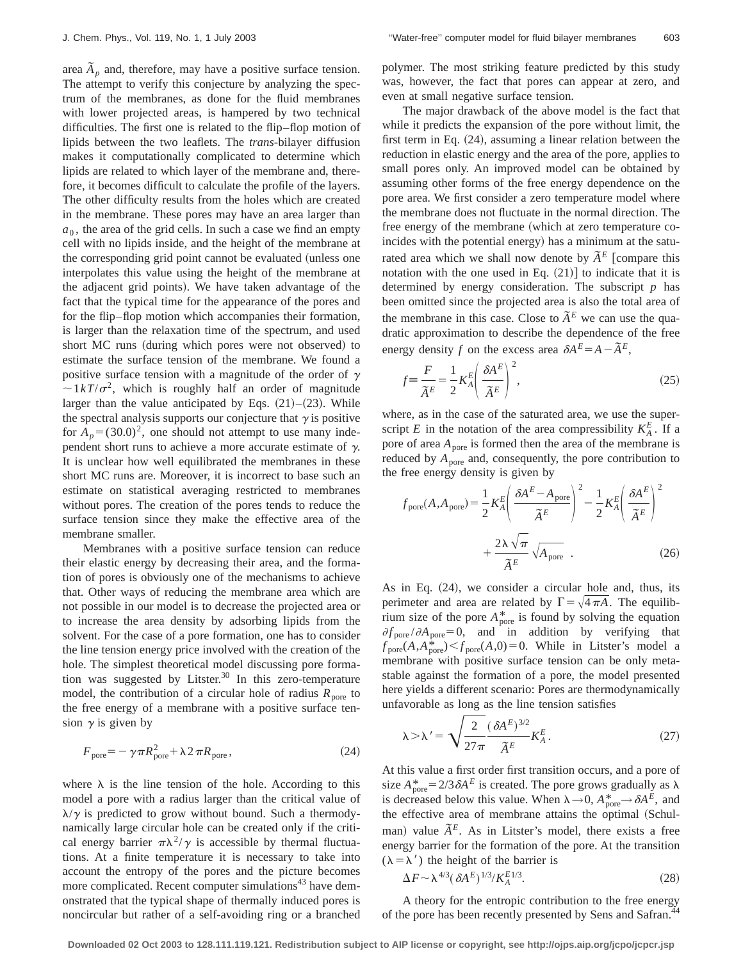area  $\tilde{A}_p$  and, therefore, may have a positive surface tension. The attempt to verify this conjecture by analyzing the spectrum of the membranes, as done for the fluid membranes with lower projected areas, is hampered by two technical difficulties. The first one is related to the flip–flop motion of lipids between the two leaflets. The *trans*-bilayer diffusion makes it computationally complicated to determine which lipids are related to which layer of the membrane and, therefore, it becomes difficult to calculate the profile of the layers. The other difficulty results from the holes which are created in the membrane. These pores may have an area larger than  $a<sub>0</sub>$ , the area of the grid cells. In such a case we find an empty cell with no lipids inside, and the height of the membrane at the corresponding grid point cannot be evaluated (unless one interpolates this value using the height of the membrane at the adjacent grid points). We have taken advantage of the fact that the typical time for the appearance of the pores and for the flip–flop motion which accompanies their formation, is larger than the relaxation time of the spectrum, and used short MC runs (during which pores were not observed) to estimate the surface tension of the membrane. We found a positive surface tension with a magnitude of the order of  $\gamma$  $\sim 1kT/\sigma^2$ , which is roughly half an order of magnitude larger than the value anticipated by Eqs.  $(21)–(23)$ . While the spectral analysis supports our conjecture that  $\gamma$  is positive for  $A_p = (30.0)^2$ , one should not attempt to use many independent short runs to achieve a more accurate estimate of  $\gamma$ . It is unclear how well equilibrated the membranes in these short MC runs are. Moreover, it is incorrect to base such an estimate on statistical averaging restricted to membranes without pores. The creation of the pores tends to reduce the surface tension since they make the effective area of the membrane smaller.

Membranes with a positive surface tension can reduce their elastic energy by decreasing their area, and the formation of pores is obviously one of the mechanisms to achieve that. Other ways of reducing the membrane area which are not possible in our model is to decrease the projected area or to increase the area density by adsorbing lipids from the solvent. For the case of a pore formation, one has to consider the line tension energy price involved with the creation of the hole. The simplest theoretical model discussing pore formation was suggested by Litster. $30$  In this zero-temperature model, the contribution of a circular hole of radius  $R_{\text{pore}}$  to the free energy of a membrane with a positive surface tension  $\gamma$  is given by

$$
F_{\text{pore}} = -\gamma \pi R_{\text{pore}}^2 + \lambda 2 \pi R_{\text{pore}} \,, \tag{24}
$$

where  $\lambda$  is the line tension of the hole. According to this model a pore with a radius larger than the critical value of  $\lambda/\gamma$  is predicted to grow without bound. Such a thermodynamically large circular hole can be created only if the critical energy barrier  $\pi \lambda^2/\gamma$  is accessible by thermal fluctuations. At a finite temperature it is necessary to take into account the entropy of the pores and the picture becomes more complicated. Recent computer simulations<sup>43</sup> have demonstrated that the typical shape of thermally induced pores is noncircular but rather of a self-avoiding ring or a branched polymer. The most striking feature predicted by this study was, however, the fact that pores can appear at zero, and even at small negative surface tension.

The major drawback of the above model is the fact that while it predicts the expansion of the pore without limit, the first term in Eq.  $(24)$ , assuming a linear relation between the reduction in elastic energy and the area of the pore, applies to small pores only. An improved model can be obtained by assuming other forms of the free energy dependence on the pore area. We first consider a zero temperature model where the membrane does not fluctuate in the normal direction. The free energy of the membrane (which at zero temperature coincides with the potential energy) has a minimum at the saturated area which we shall now denote by  $\tilde{A}^E$  [compare this notation with the one used in Eq.  $(21)$  to indicate that it is determined by energy consideration. The subscript *p* has been omitted since the projected area is also the total area of the membrane in this case. Close to  $\tilde{A}^E$  we can use the quadratic approximation to describe the dependence of the free energy density *f* on the excess area  $\delta A^E = A - \tilde{A}^E$ ,

$$
f \equiv \frac{F}{\tilde{A}^E} = \frac{1}{2} K_A^E \left( \frac{\delta A^E}{\tilde{A}^E} \right)^2,
$$
\n(25)

where, as in the case of the saturated area, we use the superscript *E* in the notation of the area compressibility  $K_A^E$ . If a pore of area  $A_{\text{pore}}$  is formed then the area of the membrane is reduced by  $A_{\text{pore}}$  and, consequently, the pore contribution to the free energy density is given by

$$
f_{\text{pore}}(A, A_{\text{pore}}) = \frac{1}{2} K_A^E \left( \frac{\delta A^E - A_{\text{pore}}}{\tilde{A}^E} \right)^2 - \frac{1}{2} K_A^E \left( \frac{\delta A^E}{\tilde{A}^E} \right)^2 + \frac{2\lambda\sqrt{\pi}}{\tilde{A}^E} \sqrt{A_{\text{pore}}} .
$$
 (26)

As in Eq.  $(24)$ , we consider a circular hole and, thus, its perimeter and area are related by  $\Gamma = \sqrt{4 \pi A}$ . The equilibrium size of the pore  $A_{\text{pore}}^*$  is found by solving the equation  $\partial f_{\text{pore}}/\partial A_{\text{pore}}=0$ , and in addition by verifying that  $f_{\text{pore}}(A, A_{\text{pore}}^*) < f_{\text{pore}}(A, 0) = 0$ . While in Litster's model a membrane with positive surface tension can be only metastable against the formation of a pore, the model presented here yields a different scenario: Pores are thermodynamically unfavorable as long as the line tension satisfies

$$
\lambda > \lambda' = \sqrt{\frac{2}{27\pi}} \frac{(\delta A^E)^{3/2}}{\tilde{A}^E} K_A^E.
$$
 (27)

At this value a first order first transition occurs, and a pore of size  $A_{\text{pore}}^* = 2/3 \delta A^E$  is created. The pore grows gradually as  $\lambda$ is decreased below this value. When  $\lambda \rightarrow 0$ ,  $A_{\text{pore}}^* \rightarrow \delta A^E$ , and the effective area of membrane attains the optimal (Schulman) value  $\tilde{A}^E$ . As in Litster's model, there exists a free energy barrier for the formation of the pore. At the transition  $(\lambda = \lambda')$  the height of the barrier is

$$
\Delta F \sim \lambda^{4/3} (\delta A^E)^{1/3} / K_A^{E1/3}.
$$
\n
$$
(28)
$$

A theory for the entropic contribution to the free energy of the pore has been recently presented by Sens and Safran.<sup>44</sup>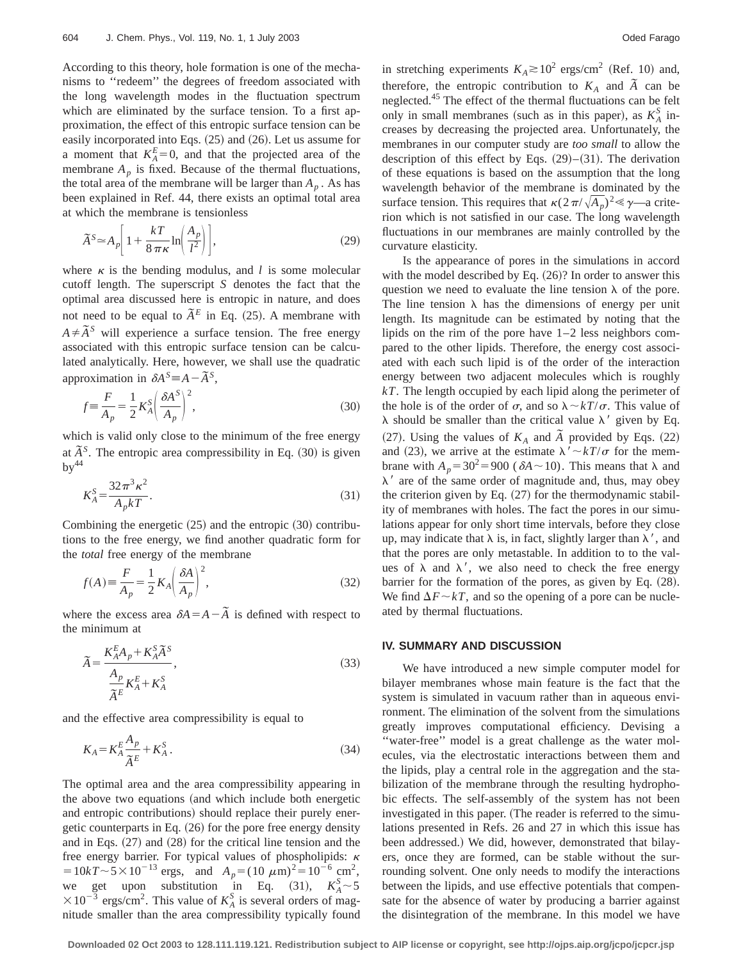According to this theory, hole formation is one of the mechanisms to ''redeem'' the degrees of freedom associated with the long wavelength modes in the fluctuation spectrum which are eliminated by the surface tension. To a first approximation, the effect of this entropic surface tension can be easily incorporated into Eqs.  $(25)$  and  $(26)$ . Let us assume for a moment that  $K_A^E=0$ , and that the projected area of the membrane  $A_p$  is fixed. Because of the thermal fluctuations, the total area of the membrane will be larger than  $A_p$ . As has been explained in Ref. 44, there exists an optimal total area at which the membrane is tensionless

$$
\widetilde{A}^S \simeq A_p \bigg[ 1 + \frac{kT}{8\,\pi\,\kappa} \ln \bigg( \frac{A_p}{l^2} \bigg) \bigg],\tag{29}
$$

where  $\kappa$  is the bending modulus, and *l* is some molecular cutoff length. The superscript *S* denotes the fact that the optimal area discussed here is entropic in nature, and does not need to be equal to  $\tilde{A}^E$  in Eq. (25). A membrane with  $A \neq \tilde{A}^S$  will experience a surface tension. The free energy associated with this entropic surface tension can be calculated analytically. Here, however, we shall use the quadratic approximation in  $\delta A^S \equiv A - \tilde{A}^S$ ,

$$
f \equiv \frac{F}{A_p} = \frac{1}{2} K_A^S \left( \frac{\delta A^S}{A_p} \right)^2,
$$
\n(30)

which is valid only close to the minimum of the free energy at  $\tilde{A}^S$ . The entropic area compressibility in Eq. (30) is given  $bv^{44}$ 

$$
K_A^S = \frac{32\pi^3 \kappa^2}{A_p kT}.
$$
\n
$$
(31)
$$

Combining the energetic  $(25)$  and the entropic  $(30)$  contributions to the free energy, we find another quadratic form for the *total* free energy of the membrane

$$
f(A) \equiv \frac{F}{A_p} = \frac{1}{2} K_A \left(\frac{\delta A}{A_p}\right)^2,\tag{32}
$$

where the excess area  $\delta A = A - \tilde{A}$  is defined with respect to the minimum at

$$
\tilde{A} = \frac{K_A^E A_p + K_A^S \tilde{A}^S}{\frac{A_p}{\tilde{A}^E} K_A^E + K_A^S},
$$
\n(33)

and the effective area compressibility is equal to

$$
K_A = K_A^E \frac{A_p}{\tilde{A}^E} + K_A^S \,. \tag{34}
$$

The optimal area and the area compressibility appearing in the above two equations (and which include both energetic and entropic contributions) should replace their purely energetic counterparts in Eq.  $(26)$  for the pore free energy density and in Eqs.  $(27)$  and  $(28)$  for the critical line tension and the free energy barrier. For typical values of phospholipids:  $\kappa$  $=10kT\sim 5\times10^{-13}$  ergs, and  $A_p=(10 \ \mu m)^2=10^{-6}$  cm<sup>2</sup>, we get upon substitution in Eq. (31),  $K_A^S \sim 5$  $\times 10^{-3}$  ergs/cm<sup>2</sup>. This value of  $K_A^S$  is several orders of magnitude smaller than the area compressibility typically found in stretching experiments  $K_A \gtrsim 10^2$  ergs/cm<sup>2</sup> (Ref. 10) and, therefore, the entropic contribution to  $K_A$  and  $\tilde{A}$  can be neglected.45 The effect of the thermal fluctuations can be felt only in small membranes (such as in this paper), as  $K_A^S$  increases by decreasing the projected area. Unfortunately, the membranes in our computer study are *too small* to allow the description of this effect by Eqs.  $(29)–(31)$ . The derivation of these equations is based on the assumption that the long wavelength behavior of the membrane is dominated by the surface tension. This requires that  $\kappa(2\pi/\sqrt{A_p})^2 \ll \gamma$ —a criterion which is not satisfied in our case. The long wavelength fluctuations in our membranes are mainly controlled by the curvature elasticity.

Is the appearance of pores in the simulations in accord with the model described by Eq.  $(26)$ ? In order to answer this question we need to evaluate the line tension  $\lambda$  of the pore. The line tension  $\lambda$  has the dimensions of energy per unit length. Its magnitude can be estimated by noting that the lipids on the rim of the pore have 1–2 less neighbors compared to the other lipids. Therefore, the energy cost associated with each such lipid is of the order of the interaction energy between two adjacent molecules which is roughly *kT*. The length occupied by each lipid along the perimeter of the hole is of the order of  $\sigma$ , and so  $\lambda \sim kT/\sigma$ . This value of  $\lambda$  should be smaller than the critical value  $\lambda'$  given by Eq. (27). Using the values of  $K_A$  and  $\tilde{A}$  provided by Eqs. (22) and (23), we arrive at the estimate  $\lambda' \sim kT/\sigma$  for the membrane with  $A_p = 30^2 = 900 \; (\delta A \sim 10)$ . This means that  $\lambda$  and  $\lambda'$  are of the same order of magnitude and, thus, may obey the criterion given by Eq.  $(27)$  for the thermodynamic stability of membranes with holes. The fact the pores in our simulations appear for only short time intervals, before they close up, may indicate that  $\lambda$  is, in fact, slightly larger than  $\lambda'$ , and that the pores are only metastable. In addition to to the values of  $\lambda$  and  $\lambda'$ , we also need to check the free energy barrier for the formation of the pores, as given by Eq.  $(28)$ . We find  $\Delta F \sim kT$ , and so the opening of a pore can be nucleated by thermal fluctuations.

#### **IV. SUMMARY AND DISCUSSION**

We have introduced a new simple computer model for bilayer membranes whose main feature is the fact that the system is simulated in vacuum rather than in aqueous environment. The elimination of the solvent from the simulations greatly improves computational efficiency. Devising a ''water-free'' model is a great challenge as the water molecules, via the electrostatic interactions between them and the lipids, play a central role in the aggregation and the stabilization of the membrane through the resulting hydrophobic effects. The self-assembly of the system has not been investigated in this paper. (The reader is referred to the simulations presented in Refs. 26 and 27 in which this issue has been addressed.) We did, however, demonstrated that bilayers, once they are formed, can be stable without the surrounding solvent. One only needs to modify the interactions between the lipids, and use effective potentials that compensate for the absence of water by producing a barrier against the disintegration of the membrane. In this model we have